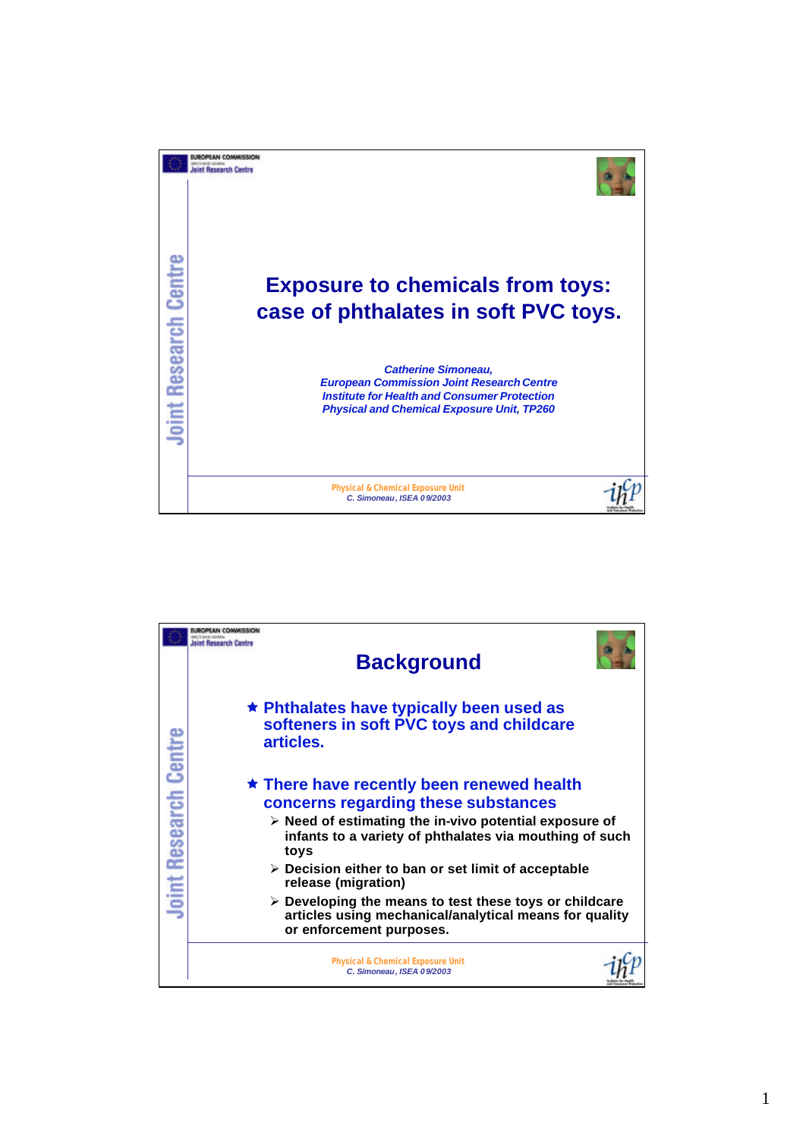

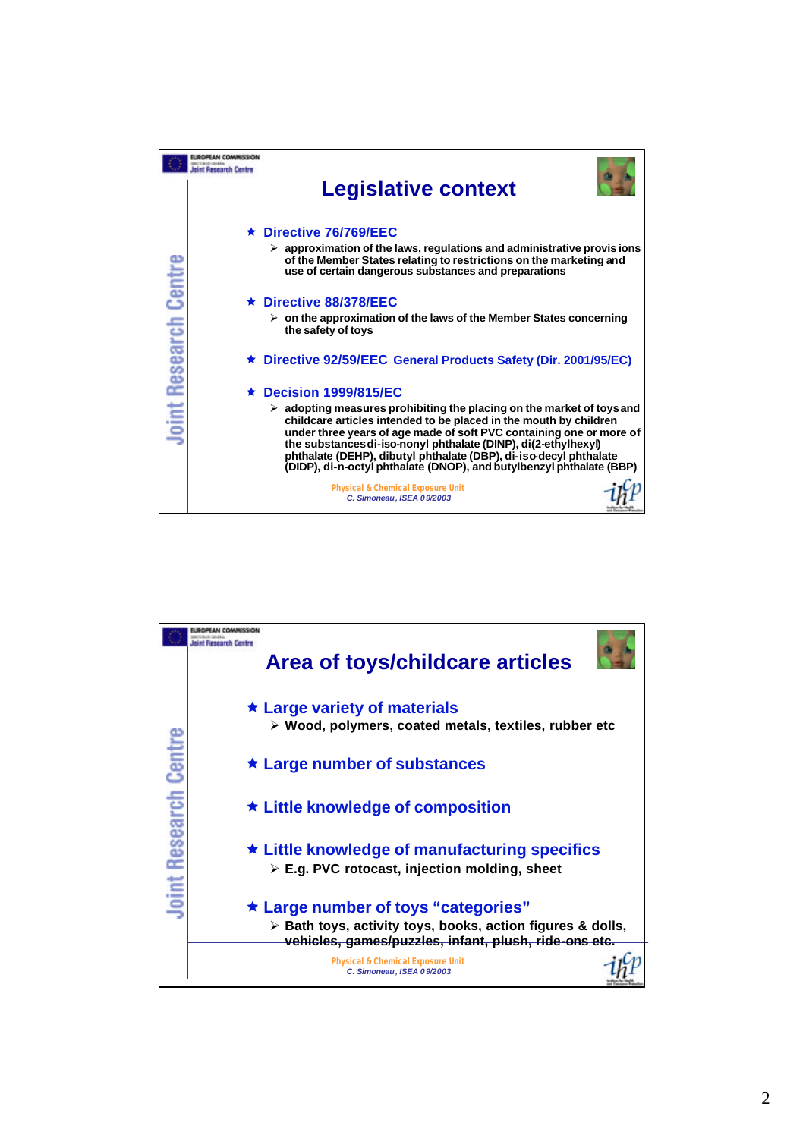|                              | sint Research Centra                                                                                                                                                                                                                                                                                                                                                                                                                            |
|------------------------------|-------------------------------------------------------------------------------------------------------------------------------------------------------------------------------------------------------------------------------------------------------------------------------------------------------------------------------------------------------------------------------------------------------------------------------------------------|
|                              | <b>Legislative context</b>                                                                                                                                                                                                                                                                                                                                                                                                                      |
| <b>Joint Research Centre</b> | $\star$ Directive 76/769/EEC                                                                                                                                                                                                                                                                                                                                                                                                                    |
|                              | $\triangleright$ approximation of the laws, regulations and administrative provisions<br>of the Member States relating to restrictions on the marketing and<br>use of certain dangerous substances and preparations                                                                                                                                                                                                                             |
|                              | $\star$ Directive 88/378/EEC                                                                                                                                                                                                                                                                                                                                                                                                                    |
|                              | $\triangleright$ on the approximation of the laws of the Member States concerning<br>the safety of toys                                                                                                                                                                                                                                                                                                                                         |
|                              | ★ Directive 92/59/EEC General Products Safety (Dir. 2001/95/EC)                                                                                                                                                                                                                                                                                                                                                                                 |
|                              | $\star$ Decision 1999/815/EC                                                                                                                                                                                                                                                                                                                                                                                                                    |
|                              | $\triangleright$ adopting measures prohibiting the placing on the market of toys and<br>childcare articles intended to be placed in the mouth by children<br>under three years of age made of soft PVC containing one or more of<br>the substances di-iso-nonyl phthalate (DINP), di(2-ethylhexyl)<br>phthalate (DEHP), dibutyl phthalate (DBP), di-iso-decyl phthalate<br>(DIDP), di-n-octyl phthalate (DNOP), and butylbenzyl phthalate (BBP) |
|                              | <b>Physical &amp; Chemical Exposure Unit</b><br>C. Simoneau, ISEA 09/2003                                                                                                                                                                                                                                                                                                                                                                       |

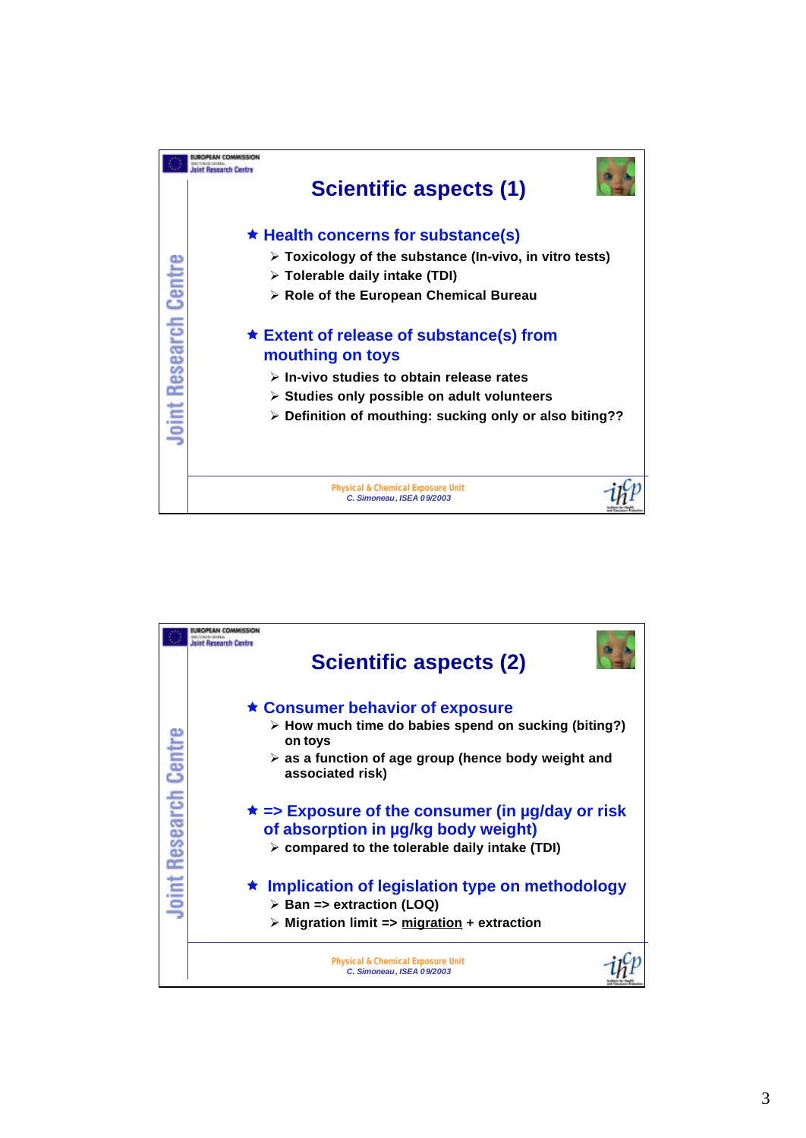

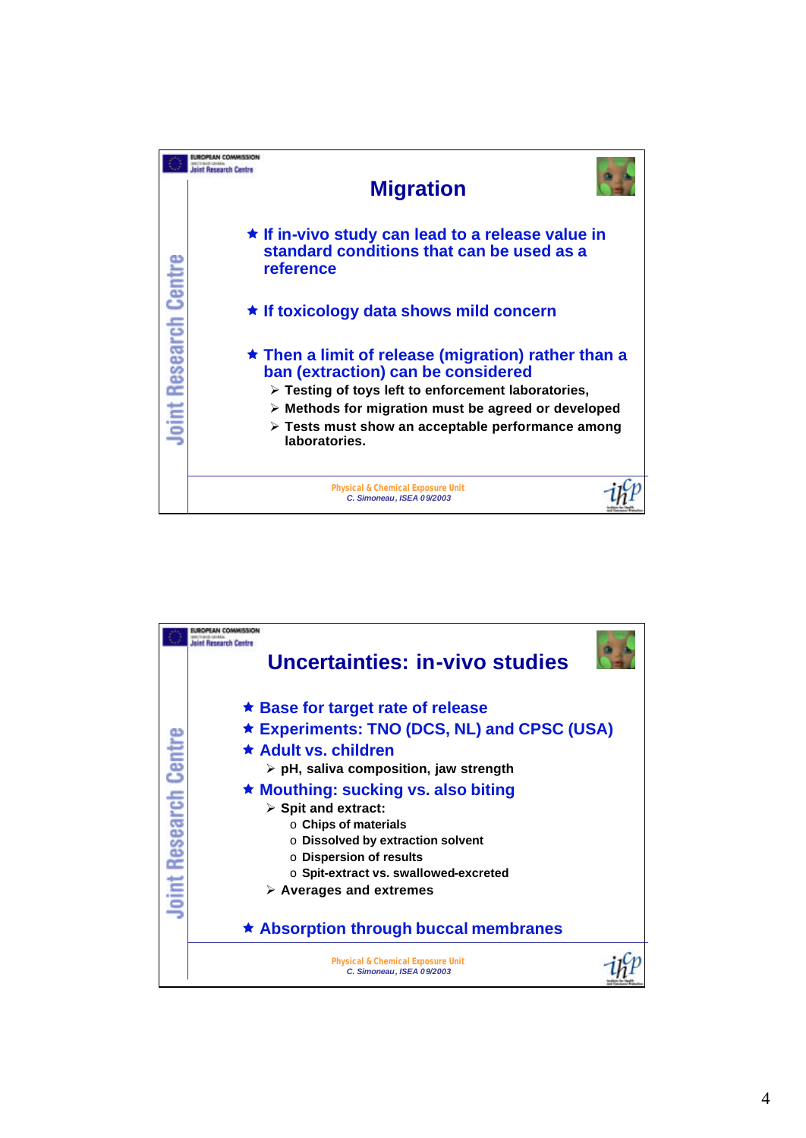

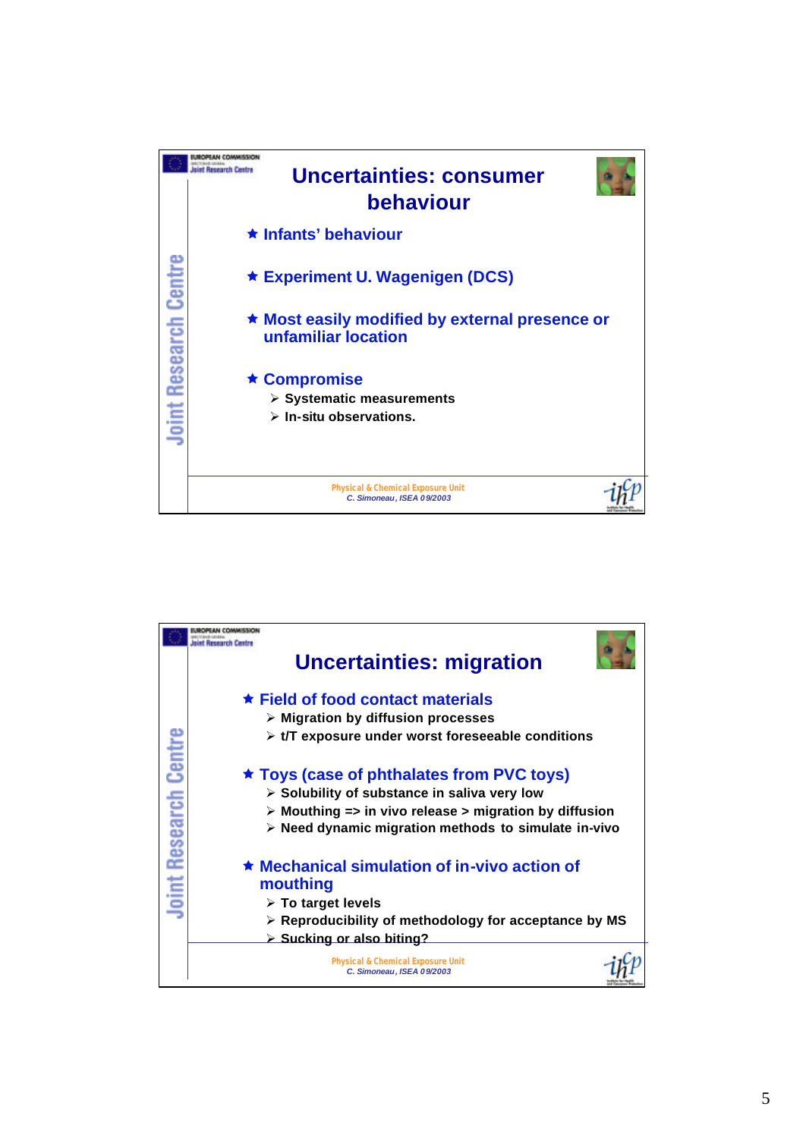

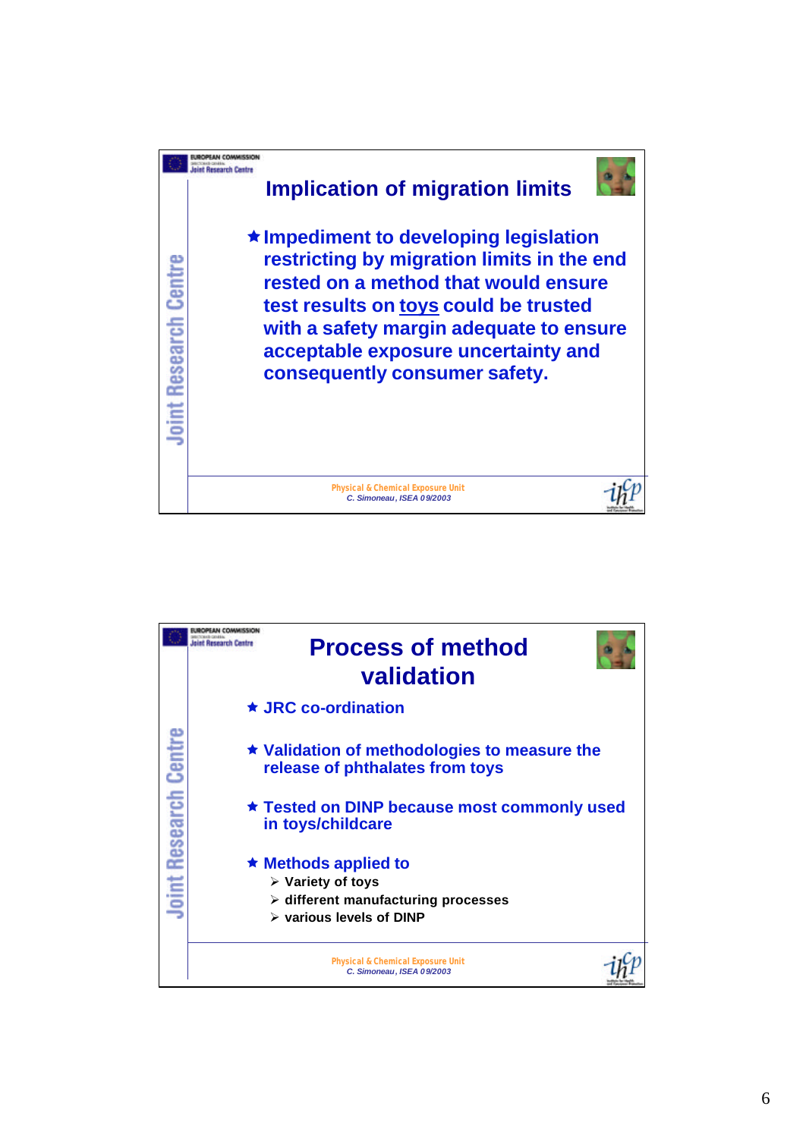

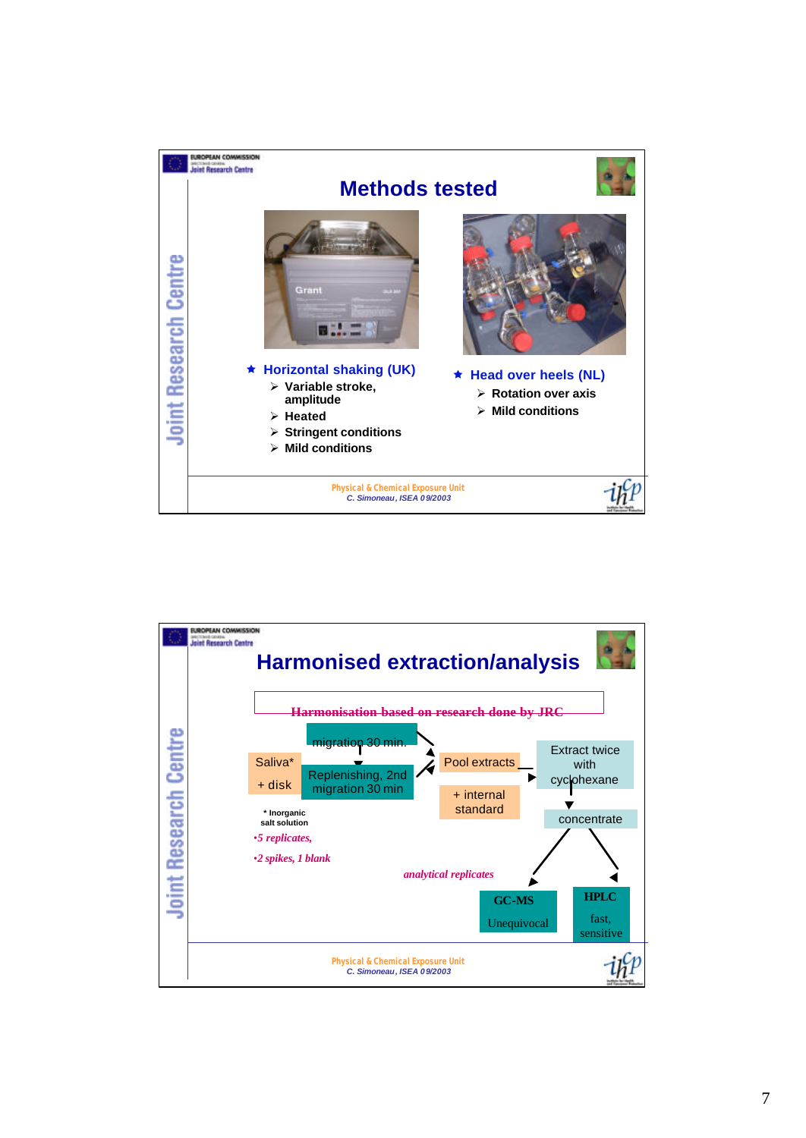

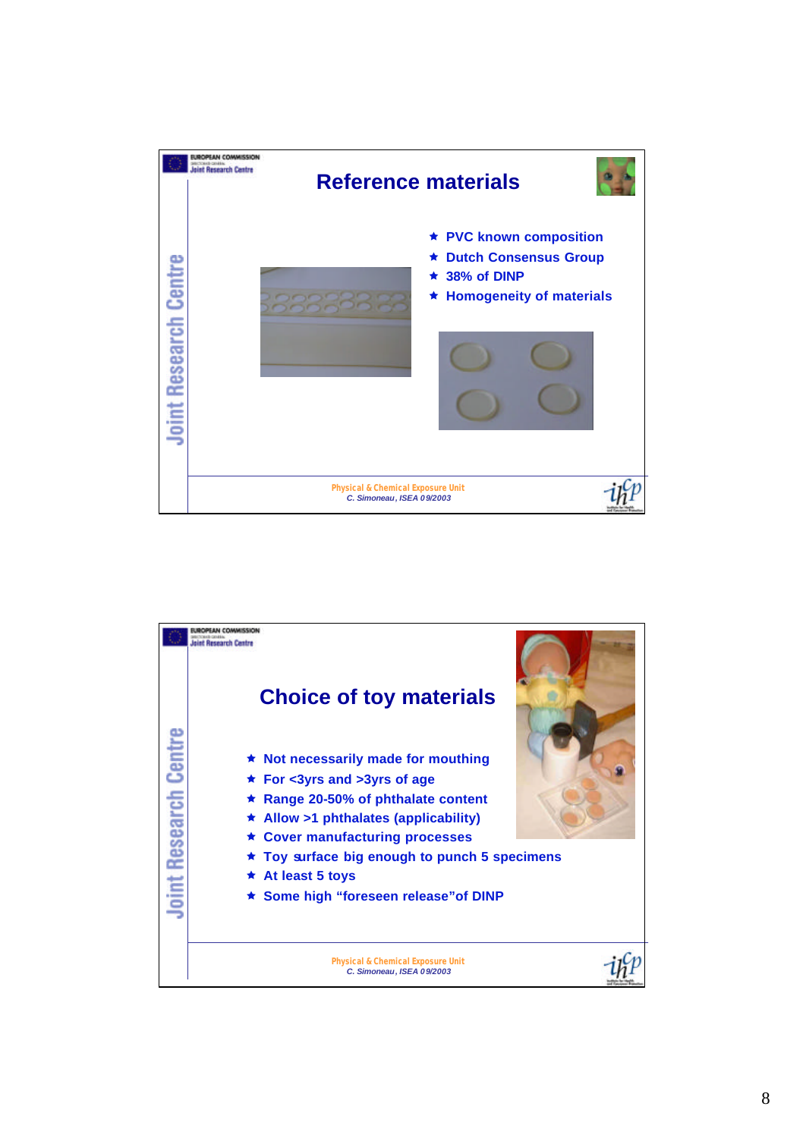

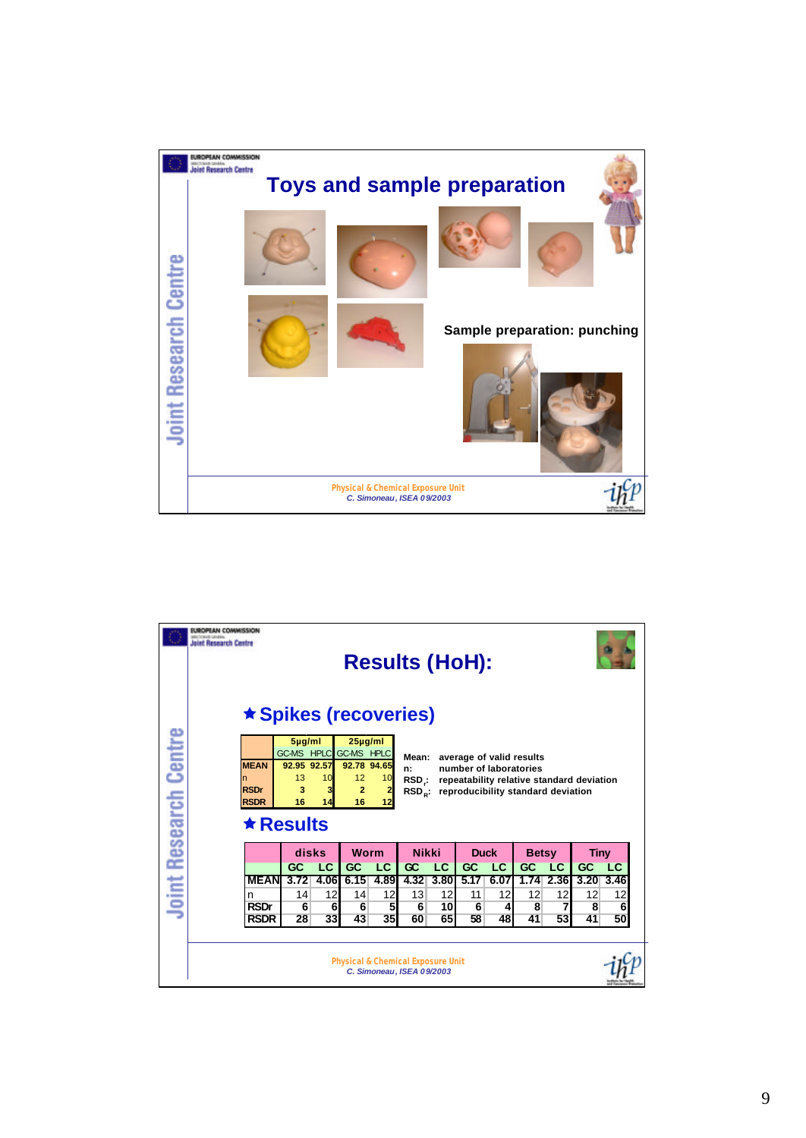

|                      | UROPEAN COMMISSION<br><b>SECTORAL GRAEN</b><br><b>Joint Research Centre</b>                                                                                                                                                                                                                                                                                                                                                             |               |      |                                              |      | <b>Results (HoH):</b>     |      |             |      |              |                         |             |      |
|----------------------|-----------------------------------------------------------------------------------------------------------------------------------------------------------------------------------------------------------------------------------------------------------------------------------------------------------------------------------------------------------------------------------------------------------------------------------------|---------------|------|----------------------------------------------|------|---------------------------|------|-------------|------|--------------|-------------------------|-------------|------|
|                      | <b>★ Spikes (recoveries)</b>                                                                                                                                                                                                                                                                                                                                                                                                            |               |      |                                              |      |                           |      |             |      |              |                         |             |      |
| oint Research Centre | $5\mu$ g/ml<br>$25\mu g/ml$<br><b>GC-MS HPLC</b><br><b>GC-MS HPLC</b><br>average of valid results<br>Mean:<br><b>MEAN</b><br>92.95 92.57<br>92.78 94.65<br>number of laboratories<br>n:<br>13<br>12<br>10<br>10<br>n<br>RSD:<br>repeatability relative standard deviation<br><b>RSDr</b><br>3<br>3<br>$\overline{2}$<br>reproducibility standard deviation<br>$RSD_{\circ}$ :<br><b>RSDR</b><br>16<br>16<br>14<br>12<br>$\star$ Results |               |      |                                              |      |                           |      |             |      |              |                         |             |      |
|                      |                                                                                                                                                                                                                                                                                                                                                                                                                                         | disks<br>Worm |      |                                              |      | <b>Nikki</b>              |      | <b>Duck</b> |      | <b>Betsy</b> |                         | <b>Tiny</b> |      |
|                      |                                                                                                                                                                                                                                                                                                                                                                                                                                         | GC            | LC   | GC                                           | LC   | Œ                         | LC   | GC          | LC   | GC           | LC                      | GC          | LC   |
|                      | <b>MEAN</b>                                                                                                                                                                                                                                                                                                                                                                                                                             | 3.72          | 4.06 | 6.15                                         | 4.89 | 4.32                      | 3.80 | 5.17        | 6.07 | 1.74         | 2.36                    | 3.20        | 3.46 |
|                      | n                                                                                                                                                                                                                                                                                                                                                                                                                                       | 14            | 12   | 14                                           | 12   | 13                        | 12   | 11          | 12   | 12           | 12                      | 12          | 12   |
| . .                  | <b>RSDr</b>                                                                                                                                                                                                                                                                                                                                                                                                                             | 6             | 6    | 6                                            | 5    | 6                         | 10   | 6           | 4    | 8            | $\overline{\mathbf{z}}$ | 8           | 6    |
|                      | <b>RSDR</b>                                                                                                                                                                                                                                                                                                                                                                                                                             | 28            | 33   | 43                                           | 35   | 60                        | 65   | 58          | 48   | 41           | 53                      | 41          | 50   |
|                      |                                                                                                                                                                                                                                                                                                                                                                                                                                         |               |      | <b>Physical &amp; Chemical Exposure Unit</b> |      | C. Simoneau, ISEA 09/2003 |      |             |      |              |                         |             |      |